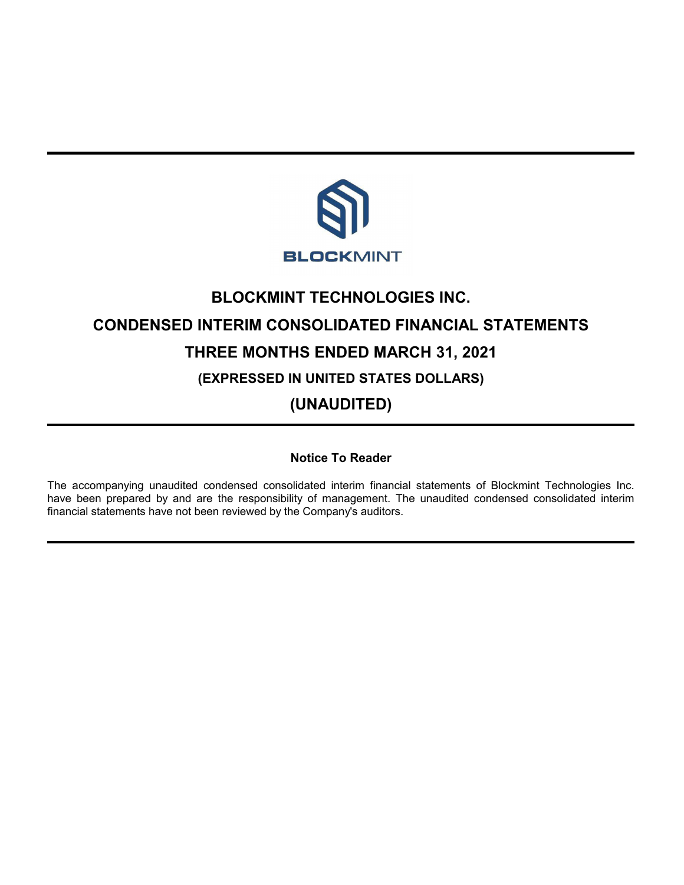

# **BLOCKMINT TECHNOLOGIES INC. CONDENSED INTERIM CONSOLIDATED FINANCIAL STATEMENTS THREE MONTHS ENDED MARCH 31, 2021 (EXPRESSED IN UNITED STATES DOLLARS) (UNAUDITED)**

**Notice To Reader**

The accompanying unaudited condensed consolidated interim financial statements of Blockmint Technologies Inc. have been prepared by and are the responsibility of management. The unaudited condensed consolidated interim financial statements have not been reviewed by the Company's auditors.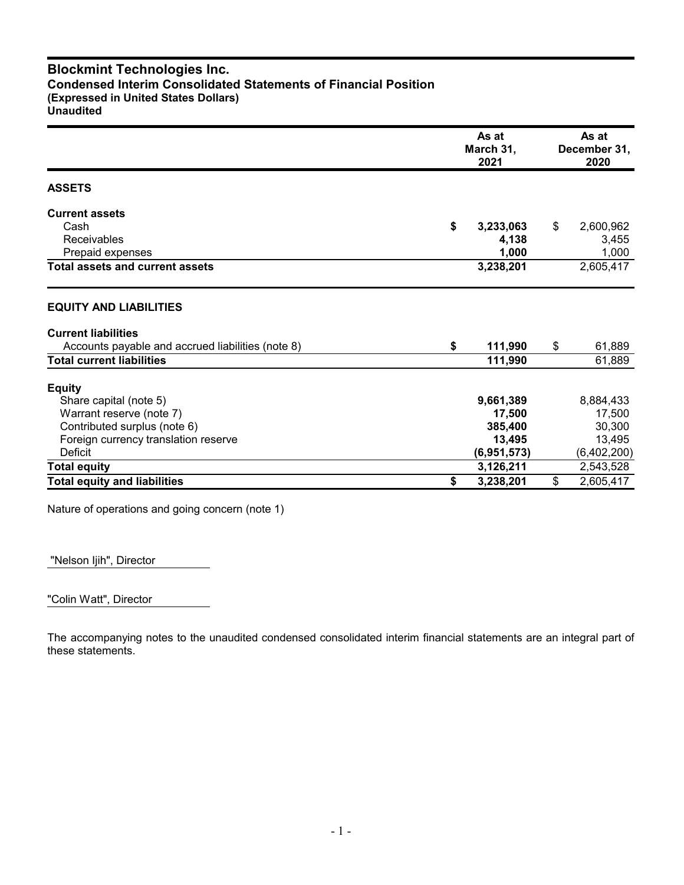# **Blockmint Technologies Inc. Condensed Interim Consolidated Statements of Financial Position (Expressed in United States Dollars) Unaudited**

|                                                   | As at<br>March 31,<br>2021 |    |             |
|---------------------------------------------------|----------------------------|----|-------------|
| <b>ASSETS</b>                                     |                            |    |             |
| <b>Current assets</b>                             |                            |    |             |
| Cash                                              | \$<br>3,233,063            | \$ | 2,600,962   |
| <b>Receivables</b>                                | 4,138                      |    | 3,455       |
| Prepaid expenses                                  | 1,000                      |    | 1,000       |
| <b>Total assets and current assets</b>            | 3,238,201                  |    | 2,605,417   |
| <b>EQUITY AND LIABILITIES</b>                     |                            |    |             |
| <b>Current liabilities</b>                        |                            |    |             |
| Accounts payable and accrued liabilities (note 8) | \$<br>111,990              | \$ | 61,889      |
| <b>Total current liabilities</b>                  | 111,990                    |    | 61,889      |
| <b>Equity</b>                                     |                            |    |             |
| Share capital (note 5)                            | 9,661,389                  |    | 8,884,433   |
| Warrant reserve (note 7)                          | 17,500                     |    | 17,500      |
| Contributed surplus (note 6)                      | 385,400                    |    | 30,300      |
| Foreign currency translation reserve              | 13,495                     |    | 13,495      |
| Deficit                                           | (6,951,573)                |    | (6,402,200) |
| <b>Total equity</b>                               | 3,126,211                  |    | 2,543,528   |
| <b>Total equity and liabilities</b>               | \$<br>3,238,201            | \$ | 2,605,417   |

Nature of operations and going concern (note 1)

"Nelson Ijih", Director

"Colin Watt", Director

The accompanying notes to the unaudited condensed consolidated interim financial statements are an integral part of these statements.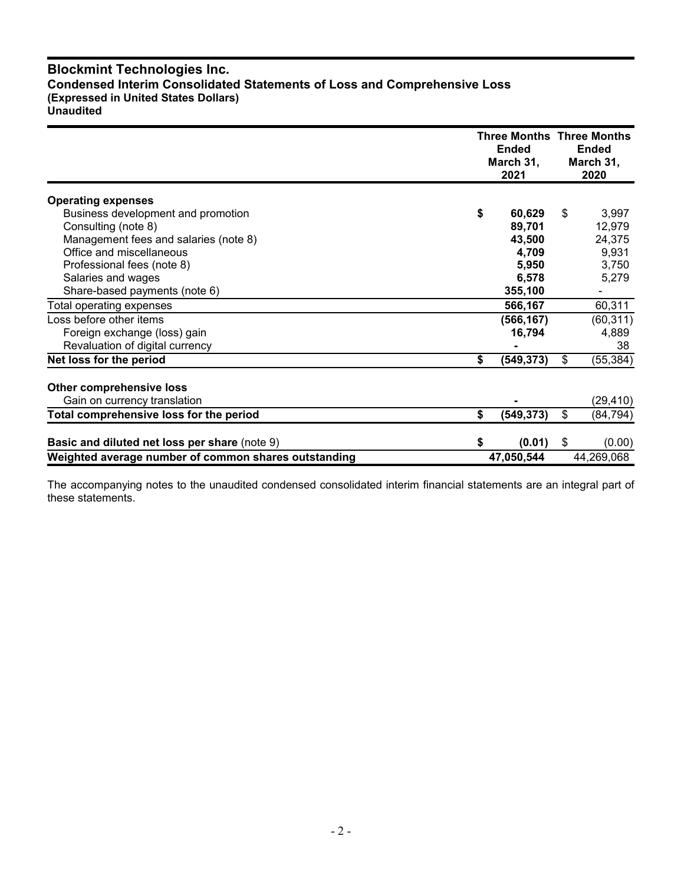# **Blockmint Technologies Inc. Condensed Interim Consolidated Statements of Loss and Comprehensive Loss (Expressed in United States Dollars) Unaudited**

|                                                      |    | <b>Three Months Three Months</b><br><b>Ended</b><br>March 31,<br>2021 | <b>Ended</b><br>March 31,<br>2020 |
|------------------------------------------------------|----|-----------------------------------------------------------------------|-----------------------------------|
| <b>Operating expenses</b>                            |    |                                                                       |                                   |
| Business development and promotion                   | \$ | 60,629                                                                | \$<br>3,997                       |
| Consulting (note 8)                                  |    | 89,701                                                                | 12,979                            |
| Management fees and salaries (note 8)                |    | 43,500                                                                | 24,375                            |
| Office and miscellaneous                             |    | 4,709                                                                 | 9,931                             |
| Professional fees (note 8)                           |    | 5,950                                                                 | 3,750                             |
| Salaries and wages                                   |    | 6,578                                                                 | 5,279                             |
| Share-based payments (note 6)                        |    | 355,100                                                               |                                   |
| Total operating expenses                             |    | 566,167                                                               | 60,311                            |
| Loss before other items                              |    | (566, 167)                                                            | (60, 311)                         |
| Foreign exchange (loss) gain                         |    | 16,794                                                                | 4,889                             |
| Revaluation of digital currency                      |    |                                                                       | 38                                |
| Net loss for the period                              | \$ | (549, 373)                                                            | \$<br>(55, 384)                   |
| Other comprehensive loss                             |    |                                                                       |                                   |
| Gain on currency translation                         |    |                                                                       | (29, 410)                         |
| Total comprehensive loss for the period              | \$ | (549, 373)                                                            | \$<br>(84, 794)                   |
| Basic and diluted net loss per share (note 9)        | S  | (0.01)                                                                | \$<br>(0.00)                      |
| Weighted average number of common shares outstanding |    | 47,050,544                                                            | 44,269,068                        |

The accompanying notes to the unaudited condensed consolidated interim financial statements are an integral part of these statements.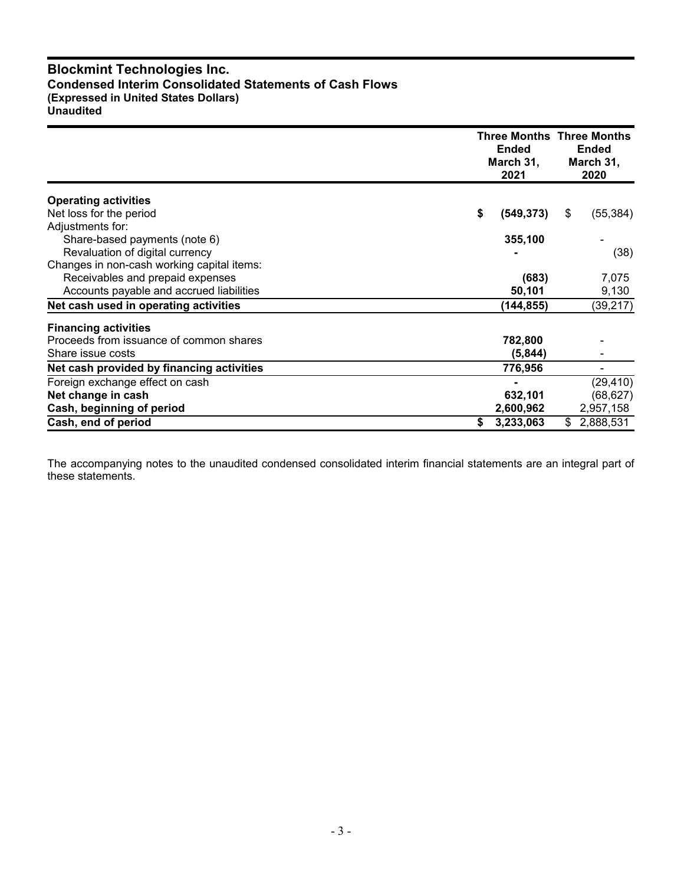# **Blockmint Technologies Inc. Condensed Interim Consolidated Statements of Cash Flows (Expressed in United States Dollars) Unaudited**

|                                            | <b>Ended</b><br>March 31,<br>2021 | <b>Three Months Three Months</b><br><b>Ended</b><br>March 31,<br>2020 |
|--------------------------------------------|-----------------------------------|-----------------------------------------------------------------------|
| <b>Operating activities</b>                |                                   |                                                                       |
| Net loss for the period                    | \$<br>(549, 373)                  | (55, 384)<br>\$                                                       |
| Adjustments for:                           |                                   |                                                                       |
| Share-based payments (note 6)              | 355,100                           |                                                                       |
| Revaluation of digital currency            |                                   | (38)                                                                  |
| Changes in non-cash working capital items: |                                   |                                                                       |
| Receivables and prepaid expenses           | (683)                             | 7,075                                                                 |
| Accounts payable and accrued liabilities   | 50,101                            | 9,130                                                                 |
| Net cash used in operating activities      | (144,855)                         | (39, 217)                                                             |
| <b>Financing activities</b>                |                                   |                                                                       |
| Proceeds from issuance of common shares    | 782,800                           |                                                                       |
| Share issue costs                          | (5, 844)                          |                                                                       |
| Net cash provided by financing activities  | 776,956                           |                                                                       |
| Foreign exchange effect on cash            |                                   | (29, 410)                                                             |
| Net change in cash                         | 632,101                           | (68, 627)                                                             |
| Cash, beginning of period                  | 2,600,962                         | 2,957,158                                                             |
| Cash, end of period                        | 3,233,063<br>\$                   | 2,888,531<br>\$                                                       |

The accompanying notes to the unaudited condensed consolidated interim financial statements are an integral part of these statements.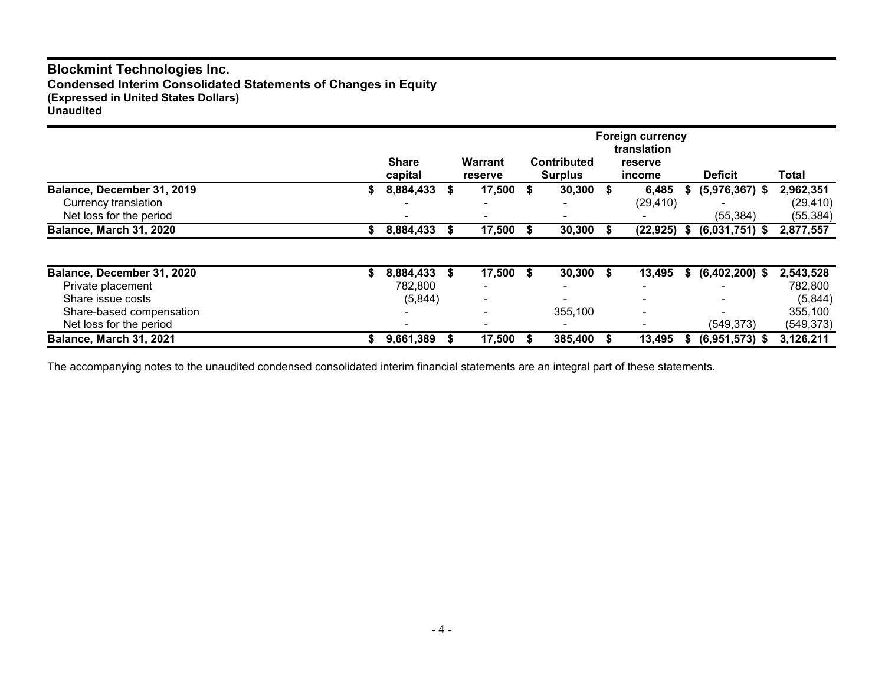# **Blockmint Technologies Inc. Condensed Interim Consolidated Statements of Changes in Equity (Expressed in United States Dollars) Unaudited**

|                                                 |    | <b>Share</b><br>capital | <b>Warrant</b><br><b>reserve</b> | <b>Contributed</b><br><b>Surplus</b> |   | <b>Foreign currency</b><br>translation<br>reserve<br>income |      | <b>Deficit</b>   | Total                  |  |
|-------------------------------------------------|----|-------------------------|----------------------------------|--------------------------------------|---|-------------------------------------------------------------|------|------------------|------------------------|--|
| Balance, December 31, 2019                      | S. | 8,884,433               | $17,500$ \$                      | 30,300                               | S | 6,485                                                       | S    | $(5,976,367)$ \$ | 2,962,351              |  |
| Currency translation<br>Net loss for the period |    |                         |                                  |                                      |   | (29, 410)                                                   |      | (55, 384)        | (29, 410)<br>(55, 384) |  |
| Balance, March 31, 2020                         | S. | 8,884,433               | 17,500 \$                        | 30,300                               |   | (22, 925)                                                   | - \$ | $(6,031,751)$ \$ | 2,877,557              |  |
|                                                 |    |                         |                                  |                                      |   |                                                             |      |                  |                        |  |
| Balance, December 31, 2020                      |    | 8,884,433               | \$<br>$17,500$ \$                | 30,300                               | S | 13,495                                                      | S.   | $(6,402,200)$ \$ | 2,543,528              |  |
| Private placement                               |    | 782,800                 |                                  |                                      |   |                                                             |      |                  | 782,800                |  |
| Share issue costs                               |    | (5,844)                 |                                  |                                      |   |                                                             |      |                  | (5,844)                |  |
| Share-based compensation                        |    |                         |                                  | 355,100                              |   | $\,$                                                        |      |                  | 355,100                |  |
| Net loss for the period                         |    |                         |                                  |                                      |   |                                                             |      | (549, 373)       | (549, 373)             |  |
| Balance, March 31, 2021                         |    | 9,661,389               | 17,500                           | 385,400                              |   | 13,495                                                      |      | $(6,951,573)$ \$ | 3,126,211              |  |

The accompanying notes to the unaudited condensed consolidated interim financial statements are an integral part of these statements.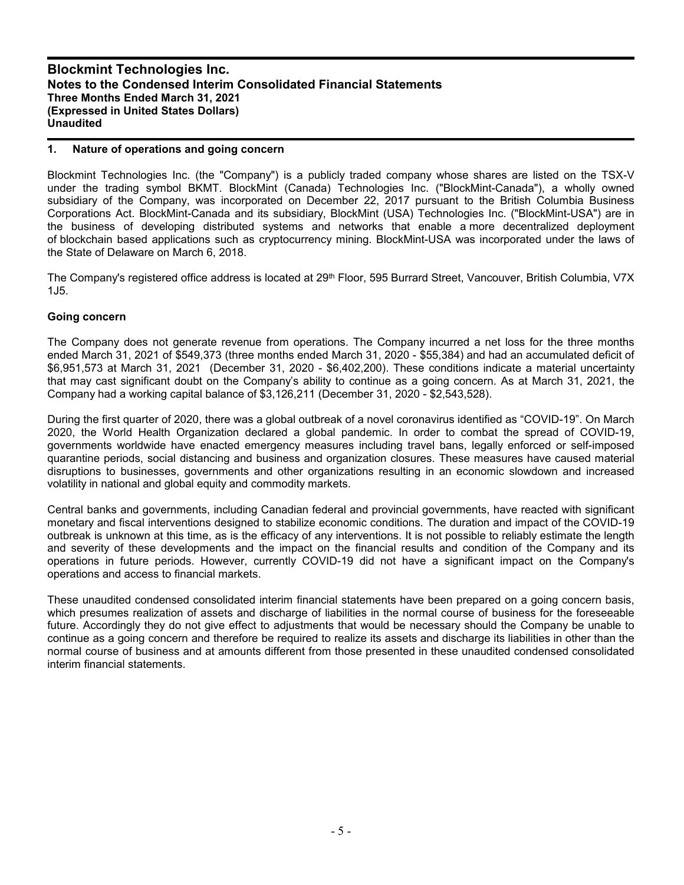### **1. Nature of operations and going concern**

Blockmint Technologies Inc. (the "Company") is a publicly traded company whose shares are listed on the TSX-V under the trading symbol BKMT. BlockMint (Canada) Technologies Inc. ("BlockMint-Canada"), a wholly owned subsidiary of the Company, was incorporated on December 22, 2017 pursuant to the British Columbia Business Corporations Act. BlockMint-Canada and its subsidiary, BlockMint (USA) Technologies Inc. ("BlockMint-USA") are in the business of developing distributed systems and networks that enable a more decentralized deployment of blockchain based applications such as cryptocurrency mining. BlockMint-USA was incorporated under the laws of the State of Delaware on March 6, 2018.

The Company's registered office address is located at 29<sup>th</sup> Floor, 595 Burrard Street, Vancouver, British Columbia, V7X 1J5.

#### **Going concern**

The Company does not generate revenue from operations. The Company incurred a net loss for the three months ended March 31, 2021 of \$549,373 (three months ended March 31, 2020 - \$55,384) and had an accumulated deficit of \$6,951,573 at March 31, 2021 (December 31, 2020 - \$6,402,200). These conditions indicate a material uncertainty that may cast significant doubt on the Company's ability to continue as a going concern. As at March 31, 2021, the Company had a working capital balance of \$3,126,211 (December 31, 2020 - \$2,543,528).

During the first quarter of 2020, there was a global outbreak of a novel coronavirus identified as "COVID-19". On March 2020, the World Health Organization declared a global pandemic. In order to combat the spread of COVID-19, governments worldwide have enacted emergency measures including travel bans, legally enforced or self-imposed quarantine periods, social distancing and business and organization closures. These measures have caused material disruptions to businesses, governments and other organizations resulting in an economic slowdown and increased volatility in national and global equity and commodity markets.

Central banks and governments, including Canadian federal and provincial governments, have reacted with significant monetary and fiscal interventions designed to stabilize economic conditions. The duration and impact of the COVID-19 outbreak is unknown at this time, as is the efficacy of any interventions. It is not possible to reliably estimate the length and severity of these developments and the impact on the financial results and condition of the Company and its operations in future periods. However, currently COVID-19 did not have a significant impact on the Company's operations and access to financial markets.

These unaudited condensed consolidated interim financial statements have been prepared on a going concern basis, which presumes realization of assets and discharge of liabilities in the normal course of business for the foreseeable future. Accordingly they do not give effect to adjustments that would be necessary should the Company be unable to continue as a going concern and therefore be required to realize its assets and discharge its liabilities in other than the normal course of business and at amounts different from those presented in these unaudited condensed consolidated interim financial statements.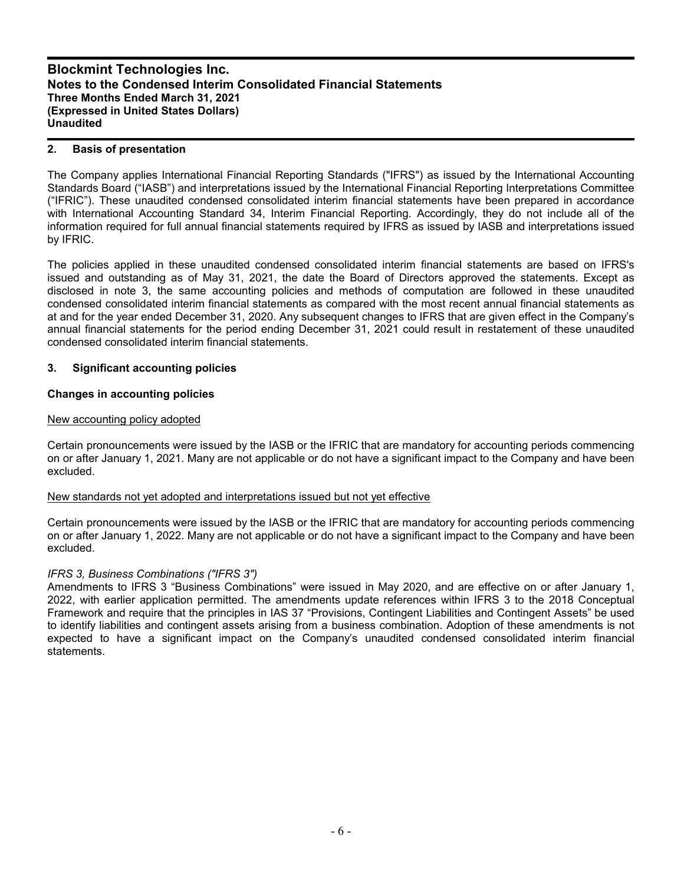## **2. Basis of presentation**

The Company applies International Financial Reporting Standards ("IFRS") as issued by the International Accounting Standards Board ("IASB") and interpretations issued by the International Financial Reporting Interpretations Committee ("IFRIC"). These unaudited condensed consolidated interim financial statements have been prepared in accordance with International Accounting Standard 34, Interim Financial Reporting. Accordingly, they do not include all of the information required for full annual financial statements required by IFRS as issued by IASB and interpretations issued by IFRIC.

The policies applied in these unaudited condensed consolidated interim financial statements are based on IFRS's issued and outstanding as of May 31, 2021, the date the Board of Directors approved the statements. Except as disclosed in note 3, the same accounting policies and methods of computation are followed in these unaudited condensed consolidated interim financial statements as compared with the most recent annual financial statements as at and for the year ended December 31, 2020. Any subsequent changes to IFRS that are given effect in the Company's annual financial statements for the period ending December 31, 2021 could result in restatement of these unaudited condensed consolidated interim financial statements.

## **3. Significant accounting policies**

## **Changes in accounting policies**

## New accounting policy adopted

Certain pronouncements were issued by the IASB or the IFRIC that are mandatory for accounting periods commencing on or after January 1, 2021. Many are not applicable or do not have a significant impact to the Company and have been excluded.

## New standards not yet adopted and interpretations issued but not yet effective

Certain pronouncements were issued by the IASB or the IFRIC that are mandatory for accounting periods commencing on or after January 1, 2022. Many are not applicable or do not have a significant impact to the Company and have been excluded.

## *IFRS 3, Business Combinations ("IFRS 3")*

Amendments to IFRS 3 "Business Combinations" were issued in May 2020, and are effective on or after January 1, 2022, with earlier application permitted. The amendments update references within IFRS 3 to the 2018 Conceptual Framework and require that the principles in IAS 37 "Provisions, Contingent Liabilities and Contingent Assets" be used to identify liabilities and contingent assets arising from a business combination. Adoption of these amendments is not expected to have a significant impact on the Company's unaudited condensed consolidated interim financial statements.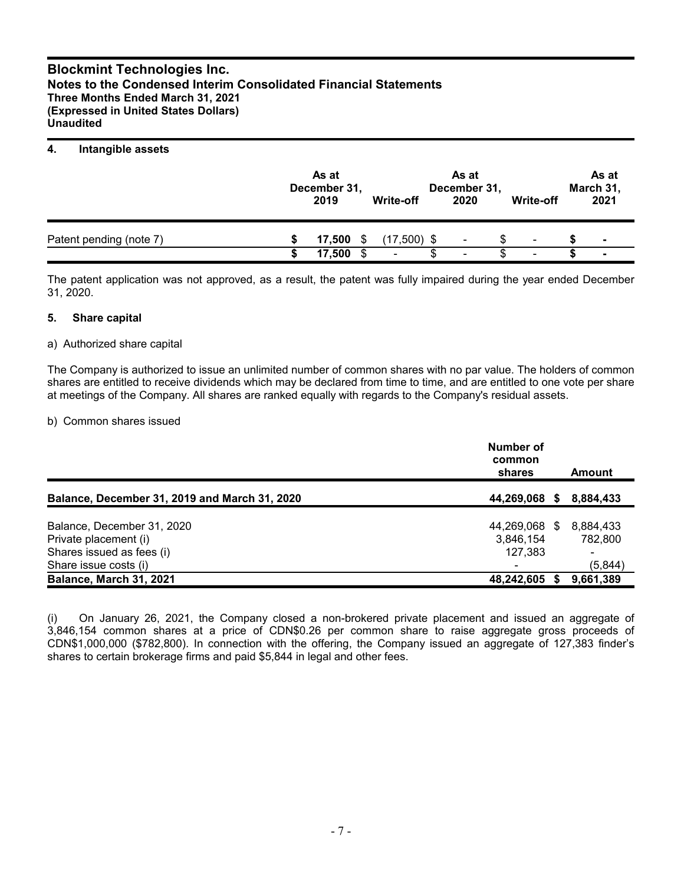### **4. Intangible assets**

|                         | As at<br>December 31,<br>2019 |   | Write-off     | As at<br>December 31,<br>2020 |   | Write-off | As at<br>March 31,<br>2021 |
|-------------------------|-------------------------------|---|---------------|-------------------------------|---|-----------|----------------------------|
| Patent pending (note 7) | 17.500                        | S | $(17,500)$ \$ | ۰                             | S | ۰         | $\blacksquare$             |
|                         | 17.500                        |   | ٠             | $\overline{\phantom{a}}$      |   | ۰         | $\overline{\phantom{a}}$   |

The patent application was not approved, as a result, the patent was fully impaired during the year ended December 31, 2020.

#### **5. Share capital**

#### a) Authorized share capital

The Company is authorized to issue an unlimited number of common shares with no par value. The holders of common shares are entitled to receive dividends which may be declared from time to time, and are entitled to one vote per share at meetings of the Company. All shares are ranked equally with regards to the Company's residual assets.

#### b) Common shares issued

|                                                    | Number of<br>common<br>shares | Amount                    |
|----------------------------------------------------|-------------------------------|---------------------------|
| Balance, December 31, 2019 and March 31, 2020      | 44,269,068 \$                 | 8,884,433                 |
| Balance, December 31, 2020                         | 44,269,068 \$                 | 8,884,433                 |
| Private placement (i)<br>Shares issued as fees (i) | 3,846,154<br>127,383          | 782.800<br>$\blacksquare$ |
| Share issue costs (i)<br>Balance, March 31, 2021   | 48,242,605 \$                 | (5, 844)<br>9,661,389     |

(i) On January 26, 2021, the Company closed a non-brokered private placement and issued an aggregate of 3,846,154 common shares at a price of CDN\$0.26 per common share to raise aggregate gross proceeds of CDN\$1,000,000 (\$782,800). In connection with the offering, the Company issued an aggregate of 127,383 finder's shares to certain brokerage firms and paid \$5,844 in legal and other fees.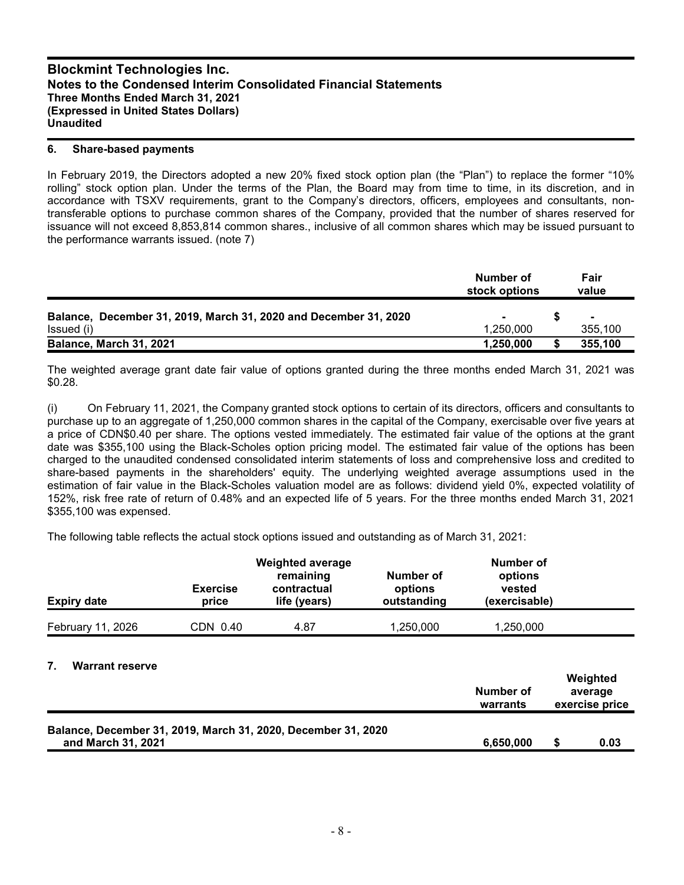#### **6. Share-based payments**

In February 2019, the Directors adopted a new 20% fixed stock option plan (the "Plan") to replace the former "10% rolling" stock option plan. Under the terms of the Plan, the Board may from time to time, in its discretion, and in accordance with TSXV requirements, grant to the Company's directors, officers, employees and consultants, nontransferable options to purchase common shares of the Company, provided that the number of shares reserved for issuance will not exceed 8,853,814 common shares., inclusive of all common shares which may be issued pursuant to the performance warrants issued. (note 7)

|                                                                  | Number of<br>stock options | Fair<br>value  |
|------------------------------------------------------------------|----------------------------|----------------|
| Balance, December 31, 2019, March 31, 2020 and December 31, 2020 |                            | $\blacksquare$ |
| Issued (i)                                                       | 1.250.000                  | 355,100        |
| Balance, March 31, 2021                                          | 1,250,000                  | 355,100        |

The weighted average grant date fair value of options granted during the three months ended March 31, 2021 was \$0.28.

(i) On February 11, 2021, the Company granted stock options to certain of its directors, officers and consultants to purchase up to an aggregate of 1,250,000 common shares in the capital of the Company, exercisable over five years at a price of CDN\$0.40 per share. The options vested immediately. The estimated fair value of the options at the grant date was \$355,100 using the Black-Scholes option pricing model. The estimated fair value of the options has been charged to the unaudited condensed consolidated interim statements of loss and comprehensive loss and credited to share-based payments in the shareholders' equity. The underlying weighted average assumptions used in the estimation of fair value in the Black-Scholes valuation model are as follows: dividend yield 0%, expected volatility of 152%, risk free rate of return of 0.48% and an expected life of 5 years. For the three months ended March 31, 2021 \$355,100 was expensed.

The following table reflects the actual stock options issued and outstanding as of March 31, 2021:

| <b>Expiry date</b>     | <b>Exercise</b><br>price | <b>Weighted average</b><br>remaining<br>contractual<br>life (years) | Number of<br>options<br>outstanding | Number of<br>options<br>vested<br>(exercisable) |  |
|------------------------|--------------------------|---------------------------------------------------------------------|-------------------------------------|-------------------------------------------------|--|
| February 11, 2026      | CDN 0.40                 | 4.87                                                                | 1,250,000                           | 1,250,000                                       |  |
| <b>Warrant reserve</b> |                          |                                                                     |                                     |                                                 |  |

|                                                                                     | Number of<br>warrants | Weighted<br>average<br>exercise price |
|-------------------------------------------------------------------------------------|-----------------------|---------------------------------------|
| Balance, December 31, 2019, March 31, 2020, December 31, 2020<br>and March 31, 2021 | 6,650,000             | 0.03                                  |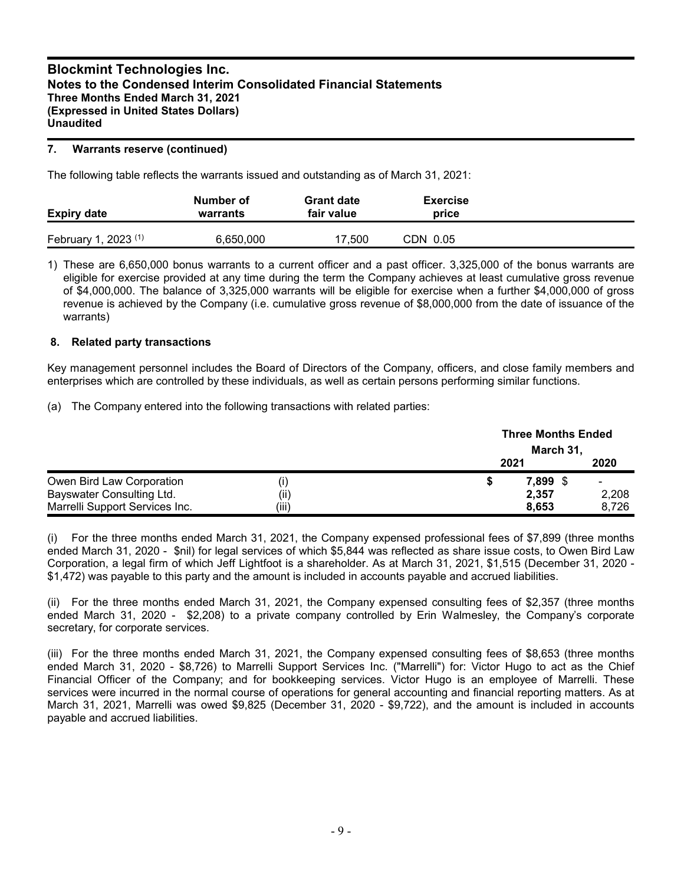## **7. Warrants reserve (continued)**

The following table reflects the warrants issued and outstanding as of March 31, 2021:

| <b>Expiry date</b>                     | Number of<br>warrants | <b>Grant date</b><br>fair value | <b>Exercise</b><br>price |  |
|----------------------------------------|-----------------------|---------------------------------|--------------------------|--|
| $, 2023$ <sup>(1)</sup><br>February 1, | 6,650,000             | 17,500                          | CDN 0.05                 |  |

1) These are 6,650,000 bonus warrants to a current officer and a past officer. 3,325,000 of the bonus warrants are eligible for exercise provided at any time during the term the Company achieves at least cumulative gross revenue of \$4,000,000. The balance of 3,325,000 warrants will be eligible for exercise when a further \$4,000,000 of gross revenue is achieved by the Company (i.e. cumulative gross revenue of \$8,000,000 from the date of issuance of the warrants)

## **8. Related party transactions**

Key management personnel includes the Board of Directors of the Company, officers, and close family members and enterprises which are controlled by these individuals, as well as certain persons performing similar functions.

(a) The Company entered into the following transactions with related parties:

|                                |       | <b>Three Months Ended</b><br>March 31, |          |                |
|--------------------------------|-------|----------------------------------------|----------|----------------|
|                                |       | 2021                                   |          | 2020           |
| Owen Bird Law Corporation      | O)    | S                                      | 7,899 \$ | $\blacksquare$ |
| Bayswater Consulting Ltd.      | (ii)  |                                        | 2,357    | 2,208          |
| Marrelli Support Services Inc. | (iii) |                                        | 8.653    | 8.726          |

(i) For the three months ended March 31, 2021, the Company expensed professional fees of \$7,899 (three months ended March 31, 2020 - \$nil) for legal services of which \$5,844 was reflected as share issue costs, to Owen Bird Law Corporation, a legal firm of which Jeff Lightfoot is a shareholder. As at March 31, 2021, \$1,515 (December 31, 2020 - \$1,472) was payable to this party and the amount is included in accounts payable and accrued liabilities.

(ii) For the three months ended March 31, 2021, the Company expensed consulting fees of \$2,357 (three months ended March 31, 2020 - \$2,208) to a private company controlled by Erin Walmesley, the Company's corporate secretary, for corporate services.

(iii) For the three months ended March 31, 2021, the Company expensed consulting fees of \$8,653 (three months ended March 31, 2020 - \$8,726) to Marrelli Support Services Inc. ("Marrelli") for: Victor Hugo to act as the Chief Financial Officer of the Company; and for bookkeeping services. Victor Hugo is an employee of Marrelli. These services were incurred in the normal course of operations for general accounting and financial reporting matters. As at March 31, 2021, Marrelli was owed \$9,825 (December 31, 2020 - \$9,722), and the amount is included in accounts payable and accrued liabilities.